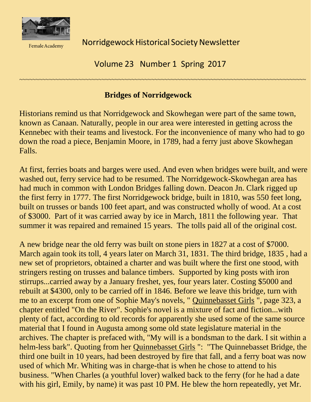

**Female Academy** 

Norridgewock Historical Society Newsletter

Volume 23 Number 1 Spring 2017

~~~~~~~~~~~~~~~~~~~~~~~~~~~~~~~~~~~~~~~~~~~~~~~~~~~~~~~~~~~~~~~~~~~~~~~~~~~~~~~~~~~~~~~

## **Bridges of Norridgewock**

Historians remind us that Norridgewock and Skowhegan were part of the same town, known as Canaan. Naturally, people in our area were interested in getting across the Kennebec with their teams and livestock. For the inconvenience of many who had to go down the road a piece, Benjamin Moore, in 1789, had a ferry just above Skowhegan Falls.

At first, ferries boats and barges were used. And even when bridges were built, and were washed out, ferry service had to be resumed. The Norridgewock-Skowhegan area has had much in common with London Bridges falling down. Deacon Jn. Clark rigged up the first ferry in 1777. The first Norridgewock bridge, built in 1810, was 550 feet long, built on trusses or bands 100 feet apart, and was constructed wholly of wood. At a cost of \$3000. Part of it was carried away by ice in March, 1811 the following year. That summer it was repaired and remained 15 years. The tolls paid all of the original cost.

A new bridge near the old ferry was built on stone piers in 1827 at a cost of \$7000. March again took its toll, 4 years later on March 31, 1831. The third bridge, 1835 , had a new set of proprietors, obtained a charter and was built where the first one stood, with stringers resting on trusses and balance timbers. Supported by king posts with iron stirrups...carried away by a January freshet, yes, four years later. Costing \$5000 and rebuilt at \$4300, only to be carried off in 1846. Before we leave this bridge, turn with me to an excerpt from one of Sophie May's novels, " Quinnebasset Girls ", page 323, a chapter entitled "On the River". Sophie's novel is a mixture of fact and fiction...with plenty of fact, according to old records for apparently she used some of the same source material that I found in Augusta among some old state legislature material in the archives. The chapter is prefaced with, "My will is a bondsman to the dark. I sit within a helm-less bark". Quoting from her Quinnebasset Girls ": "The Quinnebasset Bridge, the third one built in 10 years, had been destroyed by fire that fall, and a ferry boat was now used of which Mr. Whiting was in charge-that is when he chose to attend to his business. "When Charles (a youthful lover) walked back to the ferry (for he had a date with his girl, Emily, by name) it was past 10 PM. He blew the horn repeatedly, yet Mr.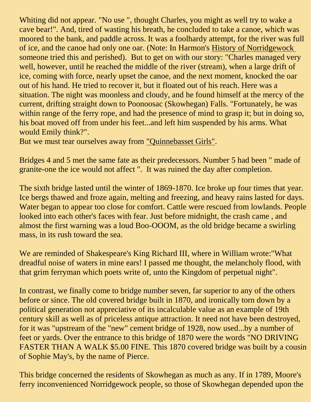Whiting did not appear. "No use ", thought Charles, you might as well try to wake a cave bear!". And, tired of wasting his breath, he concluded to take a canoe, which was moored to the bank, and paddle across. It was a foolhardy attempt, for the river was full of ice, and the canoe had only one oar. (Note: In Harmon's History of Norridgewock someone tried this and perished). But to get on with our story: "Charles managed very well, however, until he reached the middle of the river (stream), when a large drift of ice, coming with force, nearly upset the canoe, and the next moment, knocked the oar out of his hand. He tried to recover it, but it floated out of his reach. Here was a situation. The night was moonless and cloudy, and he found himself at the mercy of the current, drifting straight down to Poonoosac (Skowhegan) Falls. "Fortunately, he was within range of the ferry rope, and had the presence of mind to grasp it; but in doing so, his boat moved off from under his feet...and left him suspended by his arms. What would Emily think?".

But we must tear ourselves away from "Quinnebasset Girls".

Bridges 4 and 5 met the same fate as their predecessors. Number 5 had been " made of granite-one the ice would not affect ". It was ruined the day after completion.

The sixth bridge lasted until the winter of 1869-1870. Ice broke up four times that year. Ice bergs thawed and froze again, melting and freezing, and heavy rains lasted for days. Water began to appear too close for comfort. Cattle were rescued from lowlands. People looked into each other's faces with fear. Just before midnight, the crash came , and almost the first warning was a loud Boo-OOOM, as the old bridge became a swirling mass, in its rush toward the sea.

We are reminded of Shakespeare's King Richard III, where in William wrote:"What dreadful noise of waters in mine ears! I passed me thought, the melancholy flood, with that grim ferryman which poets write of, unto the Kingdom of perpetual night".

In contrast, we finally come to bridge number seven, far superior to any of the others before or since. The old covered bridge built in 1870, and ironically torn down by a political generation not appreciative of its incalculable value as an example of 19th century skill as well as of priceless antique attraction. It need not have been destroyed, for it was "upstream of the "new" cement bridge of 1928, now used...by a number of feet or yards. Over the entrance to this bridge of 1870 were the words "NO DRIVING FASTER THAN A WALK \$5.00 FINE. This 1870 covered bridge was built by a cousin of Sophie May's, by the name of Pierce.

This bridge concerned the residents of Skowhegan as much as any. If in 1789, Moore's ferry inconvenienced Norridgewock people, so those of Skowhegan depended upon the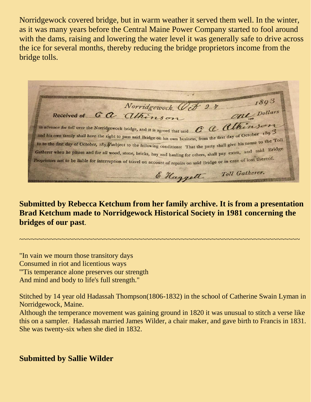Norridgewock covered bridge, but in warm weather it served them well. In the winter, as it was many years before the Central Maine Power Company started to fool around with the dams, raising and lowering the water level it was generally safe to drive across the ice for several months, thereby reducing the bridge proprietors income from the bridge tolls.

1893 Norridgewock, Oct 27 Cal Dollars Received of G a Athinson in advance for toll over the Norridgewock bridge, and it is agreed that said CCCCChiensen and his own family shall have the right to pass said Bridge on his own business, from the first day of October 189 3 to to the first day of October, 189/subject to the following conditions: That the party shall give his name to the Toll<br>Gatherer when he passes and for all wood stope high right. Gatherer when he passes and for all wood, stone, bricks, hay and hauling for others, shall pay extra, and said Bridge Proprietors not to be liable for interruption of travel on account of repairs on said Bridge or in case of loss thereof. E Haggett Toll Gatherer.

**Submitted by Rebecca Ketchum from her family archive. It is from a presentation Brad Ketchum made to Norridgewock Historical Society in 1981 concerning the bridges of our past**.

~~~~~~~~~~~~~~~~~~~~~~~~~~~~~~~~~~~~~~~~~~~~~~~~~~~~~~~~~~~~~~~~~~~~~~~~~

"In vain we mourn those transitory days Consumed in riot and licentious ways '''Tis temperance alone preserves our strength And mind and body to life's full strength."

Stitched by 14 year old Hadassah Thompson(1806-1832) in the school of Catherine Swain Lyman in Norridgewock, Maine.

Although the temperance movement was gaining ground in 1820 it was unusual to stitch a verse like this on a sampler. Hadassah married James Wilder, a chair maker, and gave birth to Francis in 1831. She was twenty-six when she died in 1832.

**Submitted by Sallie Wilder**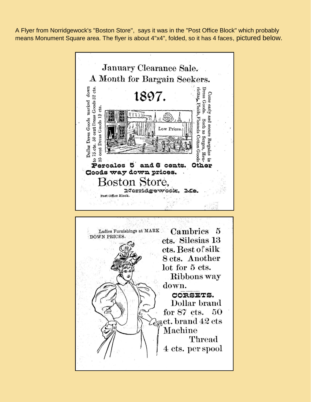A Flyer from Norridgewock's "Boston Store", says it was in the "Post Office Block" which probably means Monument Square area. The flyer is about 4"x4", folded, so it has 4 faces, pictured below.

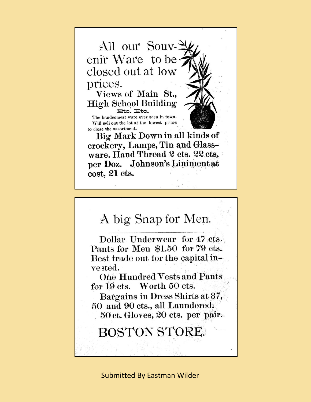

 $cost, 21$  cts.

## A big Snap for Men.

Dollar Underwear for 47 cts. Pants for Men \$1.50 for 79 cts. Best trade out for the capital inve sted.

One Hundred Vests and Pants for 19 cts. Worth 50 cts.

Bargains in Dress Shirts at 37, 50 and 90 cts., all Laundered. 50 ct. Gloves, 20 cts. per pair.

## **BOSTON STORE.**

**Submitted By Eastman Wilder**